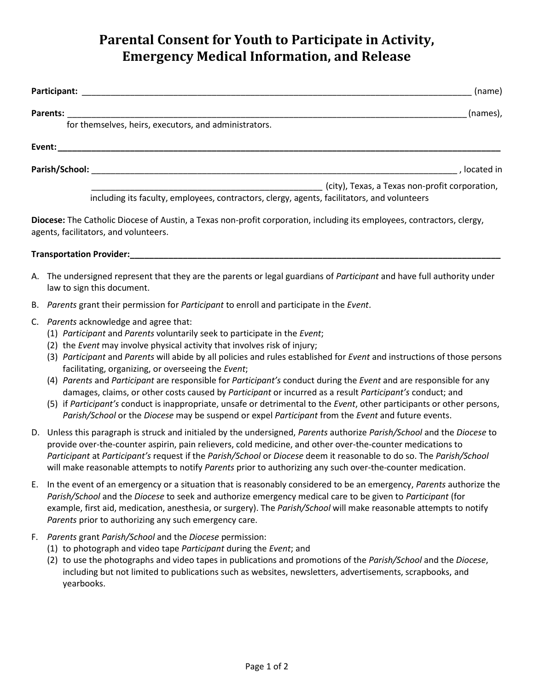## **Parental Consent for Youth to Participate in Activity, Emergency Medical Information, and Release**

| Participant:                                                                                                                                                    | (name)                                         |
|-----------------------------------------------------------------------------------------------------------------------------------------------------------------|------------------------------------------------|
| Parents:<br>for themselves, heirs, executors, and administrators.                                                                                               | (names),                                       |
|                                                                                                                                                                 |                                                |
|                                                                                                                                                                 |                                                |
| Parish/School:                                                                                                                                                  | located in                                     |
|                                                                                                                                                                 | (city), Texas, a Texas non-profit corporation, |
| including its faculty, employees, contractors, clergy, agents, facilitators, and volunteers                                                                     |                                                |
| Diocese: The Catholic Diocese of Austin, a Texas non-profit corporation, including its employees, contractors, clergy,<br>agents, facilitators, and volunteers. |                                                |

## **Transportation Provider:**

- A. The undersigned represent that they are the parents or legal guardians of *Participant* and have full authority under law to sign this document.
- B. *Parents* grant their permission for *Participant* to enroll and participate in the *Event*.
- C. *Parents* acknowledge and agree that:
	- (1) *Participant* and *Parents* voluntarily seek to participate in the *Event*;
	- (2) the *Event* may involve physical activity that involves risk of injury;
	- (3) *Participant* and *Parents* will abide by all policies and rules established for *Event* and instructions of those persons facilitating, organizing, or overseeing the *Event*;
	- (4) *Parents* and *Participant* are responsible for *Participant's* conduct during the *Event* and are responsible for any damages, claims, or other costs caused by *Participant* or incurred as a result *Participant's* conduct; and
	- (5) if *Participant's* conduct is inappropriate, unsafe or detrimental to the *Event*, other participants or other persons, *Parish/School* or the *Diocese* may be suspend or expel *Participant* from the *Event* and future events.
- D. Unless this paragraph is struck and initialed by the undersigned, *Parents* authorize *Parish/School* and the *Diocese* to provide over-the-counter aspirin, pain relievers, cold medicine, and other over-the-counter medications to *Participant* at *Participant's* request if the *Parish/School* or *Diocese* deem it reasonable to do so. The *Parish/School* will make reasonable attempts to notify *Parents* prior to authorizing any such over-the-counter medication.
- E. In the event of an emergency or a situation that is reasonably considered to be an emergency, *Parents* authorize the *Parish/School* and the *Diocese* to seek and authorize emergency medical care to be given to *Participant* (for example, first aid, medication, anesthesia, or surgery). The *Parish/School* will make reasonable attempts to notify *Parents* prior to authorizing any such emergency care.
- F. *Parents* grant *Parish/School* and the *Diocese* permission:
	- (1) to photograph and video tape *Participant* during the *Event*; and
	- (2) to use the photographs and video tapes in publications and promotions of the *Parish/School* and the *Diocese*, including but not limited to publications such as websites, newsletters, advertisements, scrapbooks, and yearbooks.